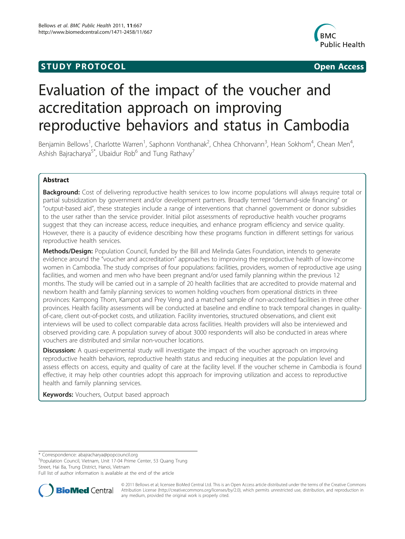# **STUDY PROTOCOL** CONTROL CONTROL CONTROL CONTROL CONTROL CONTROL CONTROL CONTROL CONTROL CONTROL CONTROL CONTROL CONTROL CONTROL CONTROL CONTROL CONTROL CONTROL CONTROL CONTROL CONTROL CONTROL CONTROL CONTROL CONTROL CONTR



# Evaluation of the impact of the voucher and accreditation approach on improving reproductive behaviors and status in Cambodia

Benjamin Bellows<sup>1</sup>, Charlotte Warren<sup>1</sup>, Saphonn Vonthanak<sup>2</sup>, Chhea Chhorvann<sup>3</sup>, Hean Sokhom<sup>4</sup>, Chean Men<sup>4</sup> , Ashish Bajracharya<sup>5\*</sup>, Ubaidur Rob<sup>6</sup> and Tung Rathavy<sup>7</sup>

# Abstract

**Background:** Cost of delivering reproductive health services to low income populations will always require total or partial subsidization by government and/or development partners. Broadly termed "demand-side financing" or "output-based aid", these strategies include a range of interventions that channel government or donor subsidies to the user rather than the service provider. Initial pilot assessments of reproductive health voucher programs suggest that they can increase access, reduce inequities, and enhance program efficiency and service quality. However, there is a paucity of evidence describing how these programs function in different settings for various reproductive health services.

Methods/Design: Population Council, funded by the Bill and Melinda Gates Foundation, intends to generate evidence around the "voucher and accreditation" approaches to improving the reproductive health of low-income women in Cambodia. The study comprises of four populations: facilities, providers, women of reproductive age using facilities, and women and men who have been pregnant and/or used family planning within the previous 12 months. The study will be carried out in a sample of 20 health facilities that are accredited to provide maternal and newborn health and family planning services to women holding vouchers from operational districts in three provinces: Kampong Thom, Kampot and Prey Veng and a matched sample of non-accredited facilities in three other provinces. Health facility assessments will be conducted at baseline and endline to track temporal changes in qualityof-care, client out-of-pocket costs, and utilization. Facility inventories, structured observations, and client exit interviews will be used to collect comparable data across facilities. Health providers will also be interviewed and observed providing care. A population survey of about 3000 respondents will also be conducted in areas where vouchers are distributed and similar non-voucher locations.

**Discussion:** A quasi-experimental study will investigate the impact of the voucher approach on improving reproductive health behaviors, reproductive health status and reducing inequities at the population level and assess effects on access, equity and quality of care at the facility level. If the voucher scheme in Cambodia is found effective, it may help other countries adopt this approach for improving utilization and access to reproductive health and family planning services.

Keywords: Vouchers, Output based approach

\* Correspondence: [abajracharya@popcouncil.org](mailto:abajracharya@popcouncil.org)

5 Population Council, Vietnam, Unit 17-04 Prime Center, 53 Quang Trung Street, Hai Ba, Trung District, Hanoi, Vietnam

Full list of author information is available at the end of the article



© 2011 Bellows et al; licensee BioMed Central Ltd. This is an Open Access article distributed under the terms of the Creative Commons Attribution License [\(http://creativecommons.org/licenses/by/2.0](http://creativecommons.org/licenses/by/2.0)), which permits unrestricted use, distribution, and reproduction in any medium, provided the original work is properly cited.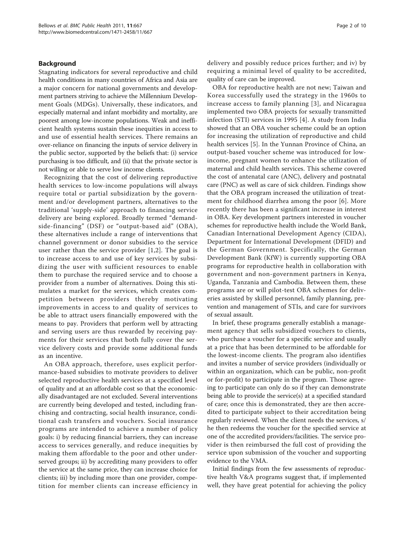#### Background

Stagnating indicators for several reproductive and child health conditions in many countries of Africa and Asia are a major concern for national governments and development partners striving to achieve the Millennium Development Goals (MDGs). Universally, these indicators, and especially maternal and infant morbidity and mortality, are poorest among low-income populations. Weak and inefficient health systems sustain these inequities in access to and use of essential health services. There remains an over-reliance on financing the inputs of service delivery in the public sector, supported by the beliefs that: (i) service purchasing is too difficult, and (ii) that the private sector is not willing or able to serve low income clients.

Recognizing that the cost of delivering reproductive health services to low-income populations will always require total or partial subsidization by the government and/or development partners, alternatives to the traditional 'supply-side' approach to financing service delivery are being explored. Broadly termed "demandside-financing" (DSF) or "output-based aid" (OBA), these alternatives include a range of interventions that channel government or donor subsidies to the service user rather than the service provider  $[1,2]$  $[1,2]$  $[1,2]$  $[1,2]$ . The goal is to increase access to and use of key services by subsidizing the user with sufficient resources to enable them to purchase the required service and to choose a provider from a number of alternatives. Doing this stimulates a market for the services, which creates competition between providers thereby motivating improvements in access to and quality of services to be able to attract users financially empowered with the means to pay. Providers that perform well by attracting and serving users are thus rewarded by receiving payments for their services that both fully cover the service delivery costs and provide some additional funds as an incentive.

An OBA approach, therefore, uses explicit performance-based subsidies to motivate providers to deliver selected reproductive health services at a specified level of quality and at an affordable cost so that the economically disadvantaged are not excluded. Several interventions are currently being developed and tested, including franchising and contracting, social health insurance, conditional cash transfers and vouchers. Social insurance programs are intended to achieve a number of policy goals: i) by reducing financial barriers, they can increase access to services generally, and reduce inequities by making them affordable to the poor and other underserved groups; ii) by accrediting many providers to offer the service at the same price, they can increase choice for clients; iii) by including more than one provider, competition for member clients can increase efficiency in delivery and possibly reduce prices further; and iv) by requiring a minimal level of quality to be accredited, quality of care can be improved.

OBA for reproductive health are not new; Taiwan and Korea successfully used the strategy in the 1960s to increase access to family planning [[3](#page-9-0)], and Nicaragua implemented two OBA projects for sexually transmitted infection (STI) services in 1995 [[4](#page-9-0)]. A study from India showed that an OBA voucher scheme could be an option for increasing the utilization of reproductive and child health services [[5\]](#page-9-0). In the Yunnan Province of China, an output-based voucher scheme was introduced for lowincome, pregnant women to enhance the utilization of maternal and child health services. This scheme covered the cost of antenatal care (ANC), delivery and postnatal care (PNC) as well as care of sick children. Findings show that the OBA program increased the utilization of treatment for childhood diarrhea among the poor [[6](#page-9-0)]. More recently there has been a significant increase in interest in OBA. Key development partners interested in voucher schemes for reproductive health include the World Bank, Canadian International Development Agency (CIDA), Department for International Development (DFID) and the German Government. Specifically, the German Development Bank (KfW) is currently supporting OBA programs for reproductive health in collaboration with government and non-government partners in Kenya, Uganda, Tanzania and Cambodia. Between them, these programs are or will pilot-test OBA schemes for deliveries assisted by skilled personnel, family planning, prevention and management of STIs, and care for survivors of sexual assault.

In brief, these programs generally establish a management agency that sells subsidized vouchers to clients, who purchase a voucher for a specific service and usually at a price that has been determined to be affordable for the lowest-income clients. The program also identifies and invites a number of service providers (individually or within an organization, which can be public, non-profit or for-profit) to participate in the program. Those agreeing to participate can only do so if they can demonstrate being able to provide the service(s) at a specified standard of care; once this is demonstrated, they are then accredited to participate subject to their accreditation being regularly reviewed. When the client needs the services, s/ he then redeems the voucher for the specified service at one of the accredited providers/facilities. The service provider is then reimbursed the full cost of providing the service upon submission of the voucher and supporting evidence to the VMA.

Initial findings from the few assessments of reproductive health V&A programs suggest that, if implemented well, they have great potential for achieving the policy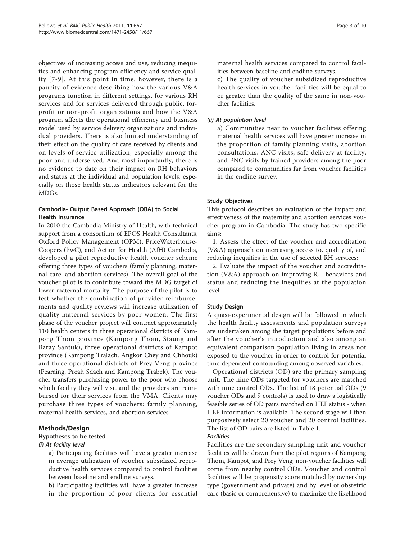objectives of increasing access and use, reducing inequities and enhancing program efficiency and service quality [[7](#page-9-0)-[9\]](#page-9-0). At this point in time, however, there is a paucity of evidence describing how the various V&A programs function in different settings, for various RH services and for services delivered through public, forprofit or non-profit organizations and how the V&A program affects the operational efficiency and business model used by service delivery organizations and individual providers. There is also limited understanding of their effect on the quality of care received by clients and on levels of service utilization, especially among the poor and underserved. And most importantly, there is no evidence to date on their impact on RH behaviors and status at the individual and population levels, especially on those health status indicators relevant for the MDGs.

# Cambodia- Output Based Approach (OBA) to Social Health Insurance

In 2010 the Cambodia Ministry of Health, with technical support from a consortium of EPOS Health Consultants, Oxford Policy Management (OPM), PriceWaterhouse-Coopers (PwC), and Action for Health (AfH) Cambodia, developed a pilot reproductive health voucher scheme offering three types of vouchers (family planning, maternal care, and abortion services). The overall goal of the voucher pilot is to contribute toward the MDG target of lower maternal mortality. The purpose of the pilot is to test whether the combination of provider reimbursements and quality reviews will increase utilization of quality maternal services by poor women. The first phase of the voucher project will contract approximately 110 health centers in three operational districts of Kampong Thom province (Kampong Thom, Staung and Baray Santuk), three operational districts of Kampot province (Kampong Tralach, Angkor Chey and Chhouk) and three operational districts of Prey Veng province (Pearaing, Preah Sdach and Kampong Trabek). The voucher transfers purchasing power to the poor who choose which facility they will visit and the providers are reimbursed for their services from the VMA. Clients may purchase three types of vouchers: family planning, maternal health services, and abortion services.

# Methods/Design

## Hypotheses to be tested

## (i) At facility level

a) Participating facilities will have a greater increase in average utilization of voucher subsidized reproductive health services compared to control facilities between baseline and endline surveys.

b) Participating facilities will have a greater increase in the proportion of poor clients for essential maternal health services compared to control facilities between baseline and endline surveys.

c) The quality of voucher subsidized reproductive health services in voucher facilities will be equal to or greater than the quality of the same in non-voucher facilities.

# (ii) At population level

a) Communities near to voucher facilities offering maternal health services will have greater increase in the proportion of family planning visits, abortion consultations, ANC visits, safe delivery at facility, and PNC visits by trained providers among the poor compared to communities far from voucher facilities in the endline survey.

# Study Objectives

This protocol describes an evaluation of the impact and effectiveness of the maternity and abortion services voucher program in Cambodia. The study has two specific aims:

1. Assess the effect of the voucher and accreditation (V&A) approach on increasing access to, quality of, and reducing inequities in the use of selected RH services:

2. Evaluate the impact of the voucher and accreditation (V&A) approach on improving RH behaviors and status and reducing the inequities at the population level.

## Study Design

A quasi-experimental design will be followed in which the health facility assessments and population surveys are undertaken among the target populations before and after the voucher's introduction and also among an equivalent comparison population living in areas not exposed to the voucher in order to control for potential time dependent confounding among observed variables.

Operational districts (OD) are the primary sampling unit. The nine ODs targeted for vouchers are matched with nine control ODs. The list of 18 potential ODs (9 voucher ODs and 9 controls) is used to draw a logistically feasible series of OD pairs matched on HEF status - when HEF information is available. The second stage will then purposively select 20 voucher and 20 control facilities. The list of OD pairs are listed in Table [1](#page-3-0).

## **Facilities**

Facilities are the secondary sampling unit and voucher facilities will be drawn from the pilot regions of Kampong Thom, Kampot, and Prey Veng; non-voucher facilities will come from nearby control ODs. Voucher and control facilities will be propensity score matched by ownership type (government and private) and by level of obstetric care (basic or comprehensive) to maximize the likelihood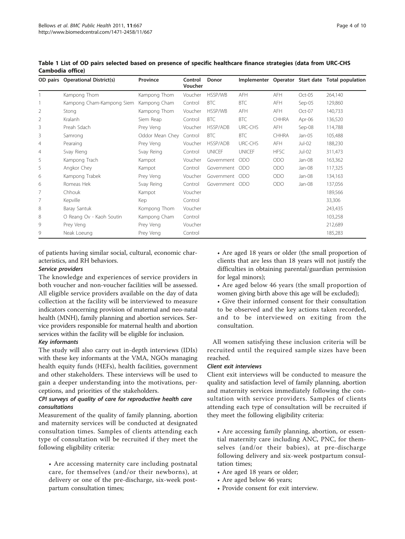|                | OD pairs Operational District(s) | Province        | Control<br>Voucher | Donor          |               |              |          | Implementer Operator Start date Total population |
|----------------|----------------------------------|-----------------|--------------------|----------------|---------------|--------------|----------|--------------------------------------------------|
|                | Kampong Thom                     | Kampong Thom    | Voucher            | HSSP/WB        | <b>AFH</b>    | <b>AFH</b>   | Oct-05   | 264,140                                          |
|                | Kampong Cham-Kampong Siem        | Kampong Cham    | Control            | BTC            | <b>BTC</b>    | <b>AFH</b>   | $Sep-05$ | 129,860                                          |
| $\overline{2}$ | Stong                            | Kampong Thom    | Voucher            | HSSP/WB        | AFH           | <b>AFH</b>   | Oct-07   | 140,733                                          |
| 2              | Kralanh                          | Siem Reap       | Control            | <b>BTC</b>     | <b>BTC</b>    | <b>CHHRA</b> | Apr-06   | 136,520                                          |
| 3              | Preah Sdach                      | Prey Veng       | Voucher            | HSSP/ADB       | URC-CHS       | AFH          | Sep-08   | 114,788                                          |
| 3              | Samrong                          | Oddor Mean Chey | Control            | <b>BTC</b>     | <b>BTC</b>    | <b>CHHRA</b> | $Jan-05$ | 105,488                                          |
| 4              | Pearaing                         | Prey Veng       | Voucher            | HSSP/ADB       | URC-CHS       | <b>AFH</b>   | $Jul-02$ | 188,230                                          |
| 4              | Svay Rieng                       | Svay Reing      | Control            | <b>UNICEF</b>  | <b>UNICEF</b> | <b>HFSC</b>  | Jul-02   | 311,473                                          |
| 5              | Kampong Trach                    | Kampot          | Voucher            | Government     | <b>ODO</b>    | <b>ODO</b>   | Jan-08   | 163,362                                          |
| 5              | Angkor Chey                      | Kampot          | Control            | Government ODO |               | <b>ODO</b>   | Jan-08   | 117,325                                          |
| 6              | Kampong Trabek                   | Prey Veng       | Voucher            | Government ODO |               | <b>ODO</b>   | Jan-08   | 134,163                                          |
| 6              | Romeas Hek                       | Svay Reing      | Control            | Government ODO |               | <b>ODO</b>   | Jan-08   | 137,056                                          |
|                | Chhouk                           | Kampot          | Voucher            |                |               |              |          | 189,566                                          |
|                | Kepville                         | Kep             | Control            |                |               |              |          | 33,306                                           |
| 8              | Baray Santuk                     | Kompong Thom    | Voucher            |                |               |              |          | 243,435                                          |
| 8              | O Reang Ov - Kaoh Soutin         | Kampong Cham    | Control            |                |               |              |          | 103,258                                          |
| 9              | Prey Veng                        | Prey Veng       | Voucher            |                |               |              |          | 212,689                                          |
| 9              | Neak Loeung                      | Prey Veng       | Control            |                |               |              |          | 185,283                                          |

<span id="page-3-0"></span>Table 1 List of OD pairs selected based on presence of specific healthcare finance strategies (data from URC-CHS Cambodia office)

of patients having similar social, cultural, economic characteristics, and RH behaviors.

#### Service providers

The knowledge and experiences of service providers in both voucher and non-voucher facilities will be assessed. All eligible service providers available on the day of data collection at the facility will be interviewed to measure indicators concerning provision of maternal and neo-natal health (MNH), family planning and abortion services. Service providers responsible for maternal health and abortion services within the facility will be eligible for inclusion.

## Key informants

The study will also carry out in-depth interviews (IDIs) with these key informants at the VMA, NGOs managing health equity funds (HEFs), health facilities, government and other stakeholders. These interviews will be used to gain a deeper understanding into the motivations, perceptions, and priorities of the stakeholders.

# CPI surveys of quality of care for reproductive health care consultations

Measurement of the quality of family planning, abortion and maternity services will be conducted at designated consultation times. Samples of clients attending each type of consultation will be recruited if they meet the following eligibility criteria:

• Are accessing maternity care including postnatal care, for themselves (and/or their newborns), at delivery or one of the pre-discharge, six-week postpartum consultation times;

• Are aged 18 years or older (the small proportion of clients that are less than 18 years will not justify the difficulties in obtaining parental/guardian permission for legal minors);

• Are aged below 46 years (the small proportion of women giving birth above this age will be excluded);

• Give their informed consent for their consultation to be observed and the key actions taken recorded, and to be interviewed on exiting from the consultation.

All women satisfying these inclusion criteria will be recruited until the required sample sizes have been reached.

#### Client exit interviews

Client exit interviews will be conducted to measure the quality and satisfaction level of family planning, abortion and maternity services immediately following the consultation with service providers. Samples of clients attending each type of consultation will be recruited if they meet the following eligibility criteria:

• Are accessing family planning, abortion, or essential maternity care including ANC, PNC, for themselves (and/or their babies), at pre-discharge following delivery and six-week postpartum consultation times;

- Are aged 18 years or older;
- Are aged below 46 years;
- Provide consent for exit interview.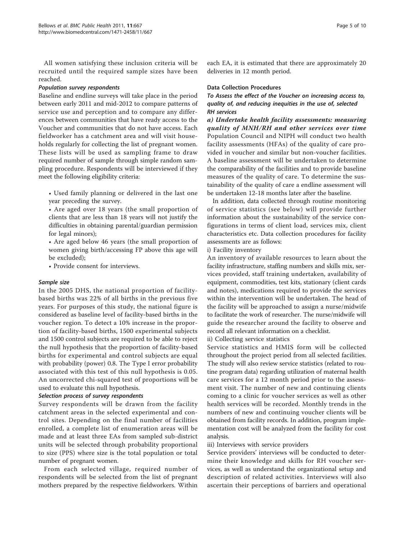All women satisfying these inclusion criteria will be recruited until the required sample sizes have been reached.

#### Population survey respondents

Baseline and endline surveys will take place in the period between early 2011 and mid-2012 to compare patterns of service use and perception and to compare any differences between communities that have ready access to the Voucher and communities that do not have access. Each fieldworker has a catchment area and will visit households regularly for collecting the list of pregnant women. These lists will be used as sampling frame to draw required number of sample through simple random sampling procedure. Respondents will be interviewed if they meet the following eligibility criteria:

• Used family planning or delivered in the last one year preceding the survey.

• Are aged over 18 years (the small proportion of clients that are less than 18 years will not justify the difficulties in obtaining parental/guardian permission for legal minors);

• Are aged below 46 years (the small proportion of women giving birth/accessing FP above this age will be excluded);

• Provide consent for interviews.

#### Sample size

In the 2005 DHS, the national proportion of facilitybased births was 22% of all births in the previous five years. For purposes of this study, the national figure is considered as baseline level of facility-based births in the voucher region. To detect a 10% increase in the proportion of facility-based births, 1500 experimental subjects and 1500 control subjects are required to be able to reject the null hypothesis that the proportion of facility-based births for experimental and control subjects are equal with probability (power) 0.8. The Type I error probability associated with this test of this null hypothesis is 0.05. An uncorrected chi-squared test of proportions will be used to evaluate this null hypothesis.

#### Selection process of survey respondents

Survey respondents will be drawn from the facility catchment areas in the selected experimental and control sites. Depending on the final number of facilities enrolled, a complete list of enumeration areas will be made and at least three EAs from sampled sub-district units will be selected through probability proportional to size (PPS) where size is the total population or total number of pregnant women.

From each selected village, required number of respondents will be selected from the list of pregnant mothers prepared by the respective fieldworkers. Within

each EA, it is estimated that there are approximately 20 deliveries in 12 month period.

#### Data Collection Procedures

To Assess the effect of the Voucher on increasing access to, quality of, and reducing inequities in the use of, selected RH services

a) Undertake health facility assessments: measuring quality of MNH/RH and other services over time Population Council and NIPH will conduct two health facility assessments (HFAs) of the quality of care provided in voucher and similar but non-voucher facilities. A baseline assessment will be undertaken to determine the comparability of the facilities and to provide baseline measures of the quality of care. To determine the sustainability of the quality of care a endline assessment will be undertaken 12-18 months later after the baseline.

In addition, data collected through routine monitoring of service statistics (see below) will provide further information about the sustainability of the service configurations in terms of client load, services mix, client characteristics etc. Data collection procedures for facility assessments are as follows:

#### i) Facility inventory

An inventory of available resources to learn about the facility infrastructure, staffing numbers and skills mix, services provided, staff training undertaken, availability of equipment, commodities, test kits, stationary (client cards and notes), medications required to provide the services within the intervention will be undertaken. The head of the facility will be approached to assign a nurse/midwife to facilitate the work of researcher. The nurse/midwife will guide the researcher around the facility to observe and record all relevant information on a checklist.

ii) Collecting service statistics

Service statistics and HMIS form will be collected throughout the project period from all selected facilities. The study will also review service statistics (related to routine program data) regarding utilization of maternal health care services for a 12 month period prior to the assessment visit. The number of new and continuing clients coming to a clinic for voucher services as well as other health services will be recorded. Monthly trends in the numbers of new and continuing voucher clients will be obtained from facility records. In addition, program implementation cost will be analyzed from the facility for cost analysis.

#### iii) Interviews with service providers

Service providers' interviews will be conducted to determine their knowledge and skills for RH voucher services, as well as understand the organizational setup and description of related activities. Interviews will also ascertain their perceptions of barriers and operational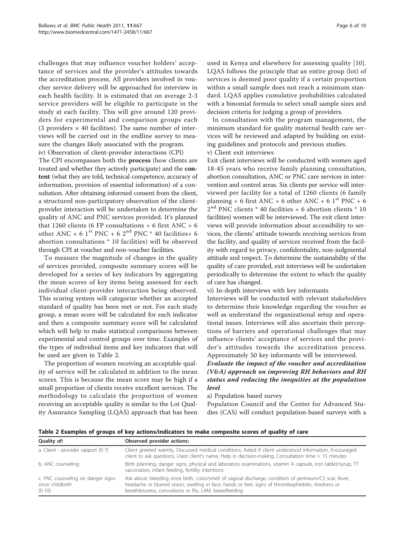challenges that may influence voucher holders' acceptance of services and the provider's attitudes towards the accreditation process. All providers involved in voucher service delivery will be approached for interview in each health facility. It is estimated that on average 2-3 service providers will be eligible to participate in the study at each facility. This will give around 120 providers for experimental and comparison groups each (3 providers  $\times$  40 facilities). The same number of interviews will be carried out in the endline survey to measure the changes likely associated with the program. iv) Observation of client-provider interactions (CPI)

The CPI encompasses both the process (how clients are treated and whether they actively participate) and the content (what they are told, technical competence, accuracy of information, provision of essential information) of a consultation. After obtaining informed consent from the client, a structured non-participatory observation of the clientprovider interaction will be undertaken to determine the quality of ANC and PNC services provided. It's planned that 1260 clients (6 FP consultations  $+$  6 first ANC  $+$  6 other ANC + 6 1st PNC + 6 2<sup>nd</sup> PNC \* 40 facilities+ 6 abortion consultations \* 10 facilities) will be observed through CPI at voucher and non-voucher facilities.

To measure the magnitude of changes in the quality of services provided, composite summary scores will be developed for a series of key indicators by aggregating the mean scores of key items being assessed for each individual client-provider interaction being observed. This scoring system will categorize whether an accepted standard of quality has been met or not. For each study group, a mean score will be calculated for each indicator and then a composite summary score will be calculated which will help to make statistical comparisons between experimental and control groups over time. Examples of the types of individual items and key indicators that will be used are given in Table 2.

The proportion of women receiving an acceptable quality of service will be calculated in addition to the mean scores. This is because the mean score may be high if a small proportion of clients receive excellent services. The methodology to calculate the proportion of women receiving an acceptable quality is similar to the Lot Quality Assurance Sampling (LQAS) approach that has been

used in Kenya and elsewhere for assessing quality [[10\]](#page-9-0). LQAS follows the principle that an entire group (lot) of services is deemed poor quality if a certain proportion within a small sample does not reach a minimum standard. LQAS applies cumulative probabilities calculated with a binomial formula to select small sample sizes and decision criteria for judging a group of providers.

In consultation with the program management, the minimum standard for quality maternal health care services will be reviewed and adapted by building on existing guidelines and protocols and previous studies.

v) Client exit interviews

Exit client interviews will be conducted with women aged 18-45 years who receive family planning consultation, abortion consultation, ANC or PNC care services in intervention and control areas. Six clients per service will interviewed per facility for a total of 1260 clients (6 family planning + 6 first ANC + 6 other ANC + 6  $1<sup>st</sup>$  PNC + 6 2nd PNC clients \* 40 facilities + 6 abortion clients \* 10 facilities) women will be interviewed. The exit client interviews will provide information about accessibility to services, the clients' attitude towards receiving services from the facility, and quality of services received from the facility with regard to privacy, confidentiality, non-judgmental attitude and respect. To determine the sustainability of the quality of care provided, exit interviews will be undertaken periodically to determine the extent to which the quality of care has changed.

vi) In-depth interviews with key informants

Interviews will be conducted with relevant stakeholders to determine their knowledge regarding the voucher as well as understand the organizational setup and operational issues. Interviews will also ascertain their perceptions of barriers and operational challenges that may influence clients' acceptance of services and the provider's attitudes towards the accreditation process. Approximately 50 key informants will be interviewed.

# Evaluate the impact of the voucher and accreditation (V&A) approach on improving RH behaviors and RH status and reducing the inequities at the population level

a) Population based survey

Population Council and the Center for Advanced Studies (CAS) will conduct population-based surveys with a

|  | Table 2 Examples of groups of key actions/indicators to make composite scores of quality of care |  |  |
|--|--------------------------------------------------------------------------------------------------|--|--|
|--|--------------------------------------------------------------------------------------------------|--|--|

| Quality of:                                                       | Observed provider actions:                                                                                                                                                                                                                                                  |
|-------------------------------------------------------------------|-----------------------------------------------------------------------------------------------------------------------------------------------------------------------------------------------------------------------------------------------------------------------------|
| a. Client - provider rapport (0-7)                                | Client greeted warmly, Discussed medical conditions, Asked if client understood information, Encouraged<br>client to ask questions, Used client's name, Help in decision-making, Consultation time > 15 minutes                                                             |
| b. ANC counseling                                                 | Birth planning, danger signs, physical and laboratory examinations, vitamin A capsule, iron tablet/syrup, TT<br>vaccination, infant feeding, fertility intentions                                                                                                           |
| c. PNC counseling on danger signs<br>since childbirth<br>$(0-10)$ | Ask about: bleeding since birth, color/smell of vaginal discharge, condition of perineum/CS scar, fever,<br>headache or blurred vision, swelling in face, hands or feet, signs of thrombophlebitis, tiredness or<br>breathlessness, convulsions or fits, LAM, breastfeeding |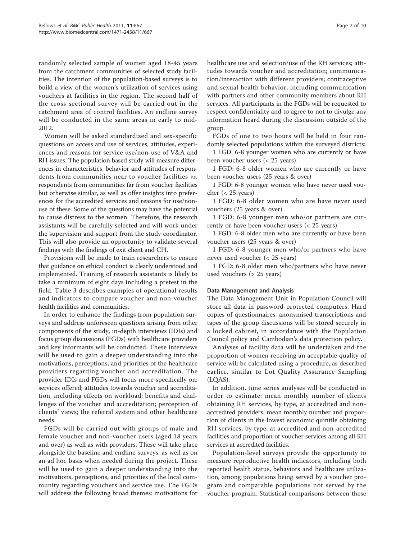randomly selected sample of women aged 18-45 years from the catchment communities of selected study facilities. The intention of the population-based surveys is to build a view of the women's utilization of services using vouchers at facilities in the region. The second half of the cross sectional survey will be carried out in the catchment area of control facilities. An endline survey will be conducted in the same areas in early to mid-2012.

Women will be asked standardized and sex-specific questions on access and use of services, attitudes, experiences and reasons for service use/non-use of V&A and RH issues. The population based study will measure differences in characteristics, behavior and attitudes of respondents from communities near to voucher facilities vs. respondents from communities far from voucher facilities but otherwise similar, as well as offer insights into preferences for the accredited services and reasons for use/nonuse of these. Some of the questions may have the potential to cause distress to the women. Therefore, the research assistants will be carefully selected and will work under the supervision and support from the study coordinator. This will also provide an opportunity to validate several findings with the findings of exit client and CPI.

Provisions will be made to train researchers to ensure that guidance on ethical conduct is clearly understood and implemented. Training of research assistants is likely to take a minimum of eight days including a pretest in the field. Table [3](#page-7-0) describes examples of operational results and indicators to compare voucher and non-voucher health facilities and communities.

In order to enhance the findings from population surveys and address unforeseen questions arising from other components of the study, in-depth interviews (IDIs) and focus group discussions (FGDs) with healthcare providers and key informants will be conducted. These interviews will be used to gain a deeper understanding into the motivations, perceptions, and priorities of the healthcare providers regarding voucher and accreditation. The provider IDIs and FGDs will focus more specifically on: services offered; attitudes towards voucher and accreditation, including effects on workload; benefits and challenges of the voucher and accreditation; perception of clients' views; the referral system and other healthcare needs.

FGDs will be carried out with groups of male and female voucher and non-voucher users (aged 18 years and over) as well as with providers. These will take place alongside the baseline and endline surveys, as well as on an ad hoc basis when needed during the project. These will be used to gain a deeper understanding into the motivations, perceptions, and priorities of the local community regarding vouchers and service use. The FGDs will address the following broad themes: motivations for healthcare use and selection/use of the RH services; attitudes towards voucher and accreditation; communication/interaction with different providers; contraceptive and sexual health behavior, including communication with partners and other community members about RH services. All participants in the FGDs will be requested to respect confidentiality and to agree to not to divulge any information heard during the discussion outside of the group.

FGDs of one to two hours will be held in four randomly selected populations within the surveyed districts:

1 FGD: 6-8 younger women who are currently or have been voucher users (< 25 years)

1 FGD: 6-8 older women who are currently or have been voucher users (25 years & over)

1 FGD: 6-8 younger women who have never used voucher (< 25 years)

1 FGD: 6-8 older women who are have never used vouchers (25 years & over)

1 FGD: 6-8 younger men who/or partners are currently or have been voucher users (< 25 years)

1 FGD: 6-8 older men who are currently or have been voucher users (25 years & over)

1 FGD: 6-8 younger men who/or partners who have never used voucher (< 25 years)

1 FGD: 6-8 older men who/partners who have never used vouchers (> 25 years)

#### Data Management and Analysis

The Data Management Unit in Population Council will store all data in password-protected computers. Hard copies of questionnaires, anonymised transcriptions and tapes of the group discussions will be stored securely in a locked cabinet, in accordance with the Population Council policy and Cambodian's data protection policy.

Analyses of facility data will be undertaken and the proportion of women receiving an acceptable quality of service will be calculated using a procedure, as described earlier, similar to Lot Quality Assurance Sampling (LQAS).

In addition, time series analyses will be conducted in order to estimate: mean monthly number of clients obtaining RH services, by type, at accredited and nonaccredited providers; mean monthly number and proportion of clients in the lowest economic quintile obtaining RH services, by type, at accredited and non-accredited facilities and proportion of voucher services among all RH services at accredited facilities.

Population-level surveys provide the opportunity to measure reproductive health indicators, including both reported health status, behaviors and healthcare utilization, among populations being served by a voucher program and comparable populations not served by the voucher program. Statistical comparisons between these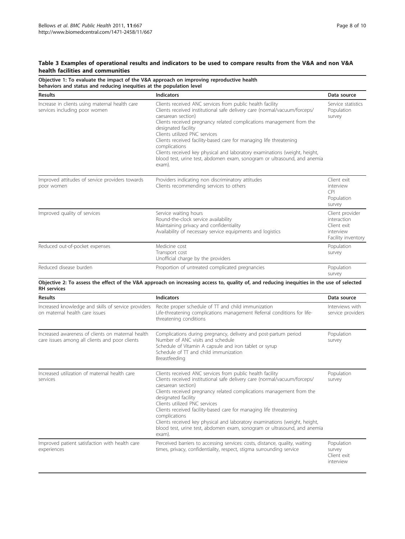#### <span id="page-7-0"></span>Table 3 Examples of operational results and indicators to be used to compare results from the V&A and non V&A health facilities and communities

Objective 1: To evaluate the impact of the V&A approach on improving reproductive health behaviors and status and reducing inequities at the population level

| <b>Results</b>                                                                                              | Indicators                                                                                                                                                                                                                                                                                                                                                                                                                                                                                                                                                                                                                             | Data source                                                                      |
|-------------------------------------------------------------------------------------------------------------|----------------------------------------------------------------------------------------------------------------------------------------------------------------------------------------------------------------------------------------------------------------------------------------------------------------------------------------------------------------------------------------------------------------------------------------------------------------------------------------------------------------------------------------------------------------------------------------------------------------------------------------|----------------------------------------------------------------------------------|
| Increase in clients using maternal health care<br>services including poor women                             | Clients received ANC services from public health facility<br>Clients received institutional safe delivery care (normal/vacuum/forceps/<br>caesarean section)<br>Clients received pregnancy related complications management from the<br>designated facility<br>Clients utilized PNC services<br>Clients received facility-based care for managing life threatening<br>complications<br>Clients received key physical and laboratory examinations (weight, height,<br>blood test, urine test, abdomen exam, sonogram or ultrasound, and anemia<br>exam).                                                                                | Service statistics<br>Population<br>survey                                       |
| Improved attitudes of service providers towards<br>poor women                                               | Providers indicating non discriminatory attitudes<br>Clients recommending services to others                                                                                                                                                                                                                                                                                                                                                                                                                                                                                                                                           | Client exit<br>interview<br>CPI<br>Population<br>survey                          |
| Improved quality of services                                                                                | Service waiting hours<br>Round-the-clock service availability<br>Maintaining privacy and confidentiality<br>Availability of necessary service equipments and logistics                                                                                                                                                                                                                                                                                                                                                                                                                                                                 | Client provider<br>interaction<br>Client exit<br>interview<br>Facility inventory |
| Reduced out-of-pocket expenses                                                                              | Medicine cost<br>Transport cost<br>Unofficial charge by the providers                                                                                                                                                                                                                                                                                                                                                                                                                                                                                                                                                                  | Population<br>survey                                                             |
| Reduced disease burden                                                                                      | Proportion of untreated complicated pregnancies                                                                                                                                                                                                                                                                                                                                                                                                                                                                                                                                                                                        | Population<br>survey                                                             |
| <b>RH</b> services                                                                                          | Objective 2: To assess the effect of the V&A approach on increasing access to, quality of, and reducing inequities in the use of selected                                                                                                                                                                                                                                                                                                                                                                                                                                                                                              |                                                                                  |
| <b>Results</b>                                                                                              | <b>Indicators</b>                                                                                                                                                                                                                                                                                                                                                                                                                                                                                                                                                                                                                      | Data source                                                                      |
| Increased knowledge and skills of service providers<br>on maternal health care issues                       | Recite proper schedule of TT and child immunization<br>Life-threatening complications management Referral conditions for life-<br>threatening conditions                                                                                                                                                                                                                                                                                                                                                                                                                                                                               | Interviews with<br>service providers                                             |
| Increased awareness of clients on maternal health<br>care issues among all clients and poor clients         | Complications during pregnancy, delivery and post-partum period<br>Number of ANC visits and schedule<br>Schedule of Vitamin A capsule and iron tablet or syrup<br>Schedule of TT and child immunization<br>Breastfeeding                                                                                                                                                                                                                                                                                                                                                                                                               | Population<br>survey                                                             |
| Increased utilization of maternal health care<br>services<br>Improved patient satisfaction with health care | Clients received ANC services from public health facility<br>Clients received institutional safe delivery care (normal/vacuum/forceps/<br>caesarean section)<br>Clients received pregnancy related complications management from the<br>designated facility<br>Clients utilized PNC services<br>Clients received facility-based care for managing life threatening<br>complications<br>Clients received key physical and laboratory examinations (weight, height,<br>blood test, urine test, abdomen exam, sonogram or ultrasound, and anemia<br>exam).<br>Perceived barriers to accessing services: costs, distance, quality, waiting | Population<br>survey<br>Population                                               |
|                                                                                                             |                                                                                                                                                                                                                                                                                                                                                                                                                                                                                                                                                                                                                                        |                                                                                  |

Improved patient satisfaction with health care experiences times, privacy, confidentiality, respect, stigma surrounding service

survey Client exit interview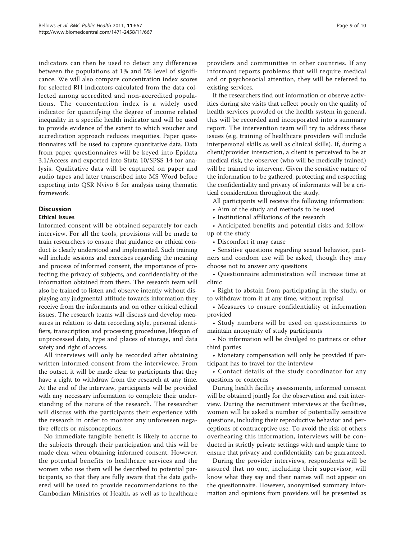indicators can then be used to detect any differences between the populations at 1% and 5% level of significance. We will also compare concentration index scores for selected RH indicators calculated from the data collected among accredited and non-accredited populations. The concentration index is a widely used indicator for quantifying the degree of income related inequality in a specific health indicator and will be used to provide evidence of the extent to which voucher and accreditation approach reduces inequities. Paper questionnaires will be used to capture quantitative data. Data from paper questionnaires will be keyed into Epidata 3.1/Access and exported into Stata 10/SPSS 14 for analysis. Qualitative data will be captured on paper and audio tapes and later transcribed into MS Word before exporting into QSR Nvivo 8 for analysis using thematic framework.

## Discussion

## Ethical Issues

Informed consent will be obtained separately for each interview. For all the tools, provisions will be made to train researchers to ensure that guidance on ethical conduct is clearly understood and implemented. Such training will include sessions and exercises regarding the meaning and process of informed consent, the importance of protecting the privacy of subjects, and confidentiality of the information obtained from them. The research team will also be trained to listen and observe intently without displaying any judgmental attitude towards information they receive from the informants and on other critical ethical issues. The research teams will discuss and develop measures in relation to data recording style, personal identifiers, transcription and processing procedures, lifespan of unprocessed data, type and places of storage, and data safety and right of access.

All interviews will only be recorded after obtaining written informed consent from the interviewee. From the outset, it will be made clear to participants that they have a right to withdraw from the research at any time. At the end of the interview, participants will be provided with any necessary information to complete their understanding of the nature of the research. The researcher will discuss with the participants their experience with the research in order to monitor any unforeseen negative effects or misconceptions.

No immediate tangible benefit is likely to accrue to the subjects through their participation and this will be made clear when obtaining informed consent. However, the potential benefits to healthcare services and the women who use them will be described to potential participants, so that they are fully aware that the data gathered will be used to provide recommendations to the Cambodian Ministries of Health, as well as to healthcare

providers and communities in other countries. If any informant reports problems that will require medical and or psychosocial attention, they will be referred to existing services.

If the researchers find out information or observe activities during site visits that reflect poorly on the quality of health services provided or the health system in general, this will be recorded and incorporated into a summary report. The intervention team will try to address these issues (e.g. training of healthcare providers will include interpersonal skills as well as clinical skills). If, during a client/provider interaction, a client is perceived to be at medical risk, the observer (who will be medically trained) will be trained to intervene. Given the sensitive nature of the information to be gathered, protecting and respecting the confidentiality and privacy of informants will be a critical consideration throughout the study.

All participants will receive the following information:

• Aim of the study and methods to be used

• Institutional affiliations of the research

• Anticipated benefits and potential risks and followup of the study

• Discomfort it may cause

• Sensitive questions regarding sexual behavior, partners and condom use will be asked, though they may choose not to answer any questions

• Questionnaire administration will increase time at clinic

• Right to abstain from participating in the study, or to withdraw from it at any time, without reprisal

• Measures to ensure confidentiality of information provided

• Study numbers will be used on questionnaires to maintain anonymity of study participants

• No information will be divulged to partners or other third parties

• Monetary compensation will only be provided if participant has to travel for the interview

• Contact details of the study coordinator for any questions or concerns

During health facility assessments, informed consent will be obtained jointly for the observation and exit interview. During the recruitment interviews at the facilities, women will be asked a number of potentially sensitive questions, including their reproductive behavior and perceptions of contraceptive use. To avoid the risk of others overhearing this information, interviews will be conducted in strictly private settings with and ample time to ensure that privacy and confidentiality can be guaranteed.

During the provider interviews, respondents will be assured that no one, including their supervisor, will know what they say and their names will not appear on the questionnaire. However, anonymised summary information and opinions from providers will be presented as